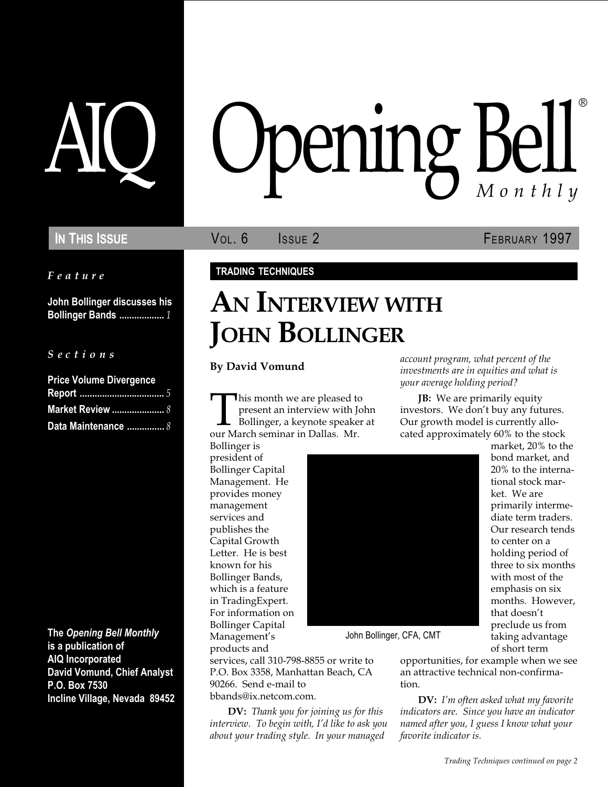Feature

John Bollinger discusses his **Bollinger Bands ....................** 1

#### S e c t i o n s

| <b>Price Volume Divergence</b> |  |
|--------------------------------|--|
|                                |  |
| <b>Market Review </b> 8        |  |
| Data Maintenance  8            |  |

The Opening Bell Monthly is a publication of AIQ Incorporated David Vomund, Chief Analyst P.O. Box 7530 Incline Village, Nevada 89452

# AIQ Opening Bell ®

IN THIS ISSUE **VOL. 6** ISSUE 2 **FEBRUARY 1997** 

market, 20% to the bond market, and 20% to the international stock market. We are primarily intermediate term traders. Our research tends to center on a holding period of three to six months with most of the emphasis on six months. However,

## TRADING TECHNIQUES

# AN INTERVIEW WITH JOHN BOLLINGER

By David Vomund

This month we are pleased to<br>present an interview with Jo<br>Bollinger, a keynote speaker<br>our March seminar in Dallas. Mr. present an interview with John Bollinger, a keynote speaker at

Bollinger is president of Bollinger Capital Management. He provides money management services and publishes the Capital Growth Letter. He is best known for his Bollinger Bands, which is a feature in TradingExpert. For information on Bollinger Capital Management's



John Bollinger, CFA, CMT

products and services, call 310-798-8855 or write to P.O. Box 3358, Manhattan Beach, CA 90266. Send e-mail to bbands@ix.netcom.com.

DV: Thank you for joining us for this interview. To begin with, I'd like to ask you about your trading style. In your managed

of short term opportunities, for example when we see an attractive technical non-confirmation.

account program, what percent of the investments are in equities and what is

**JB:** We are primarily equity investors. We don't buy any futures. Our growth model is currently allocated approximately 60% to the stock

your average holding period?

**DV:** I'm often asked what my favorite indicators are. Since you have an indicator named after you, I guess I know what your favorite indicator is.

that doesn't preclude us from taking advantage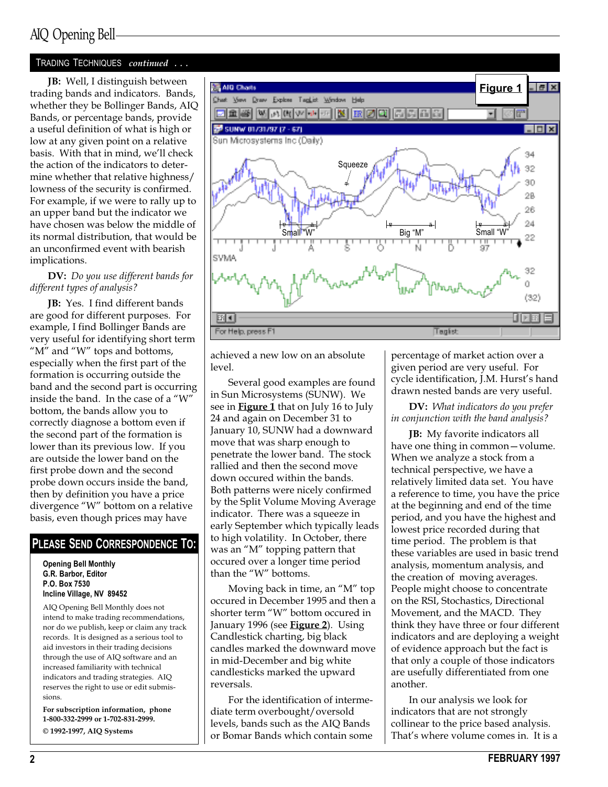#### TRADING TECHNIQUES continued . . .

JB: Well, I distinguish between trading bands and indicators. Bands, whether they be Bollinger Bands, AIQ Bands, or percentage bands, provide a useful definition of what is high or low at any given point on a relative basis. With that in mind, we'll check the action of the indicators to determine whether that relative highness/ lowness of the security is confirmed. For example, if we were to rally up to an upper band but the indicator we have chosen was below the middle of its normal distribution, that would be an unconfirmed event with bearish implications.

#### DV: Do you use different bands for different types of analysis?

JB: Yes. I find different bands are good for different purposes. For example, I find Bollinger Bands are very useful for identifying short term " $M$ " and " $W$ " tops and bottoms, especially when the first part of the formation is occurring outside the band and the second part is occurring inside the band. In the case of a "W" bottom, the bands allow you to correctly diagnose a bottom even if the second part of the formation is lower than its previous low. If you are outside the lower band on the first probe down and the second probe down occurs inside the band, then by definition you have a price divergence "W" bottom on a relative basis, even though prices may have

#### PLEASE SEND CORRESPONDENCE TO:

Opening Bell Monthly G.R. Barbor, Editor P.O. Box 7530 Incline Village, NV 89452

AIQ Opening Bell Monthly does not intend to make trading recommendations, nor do we publish, keep or claim any track records. It is designed as a serious tool to aid investors in their trading decisions through the use of AIQ software and an increased familiarity with technical indicators and trading strategies. AIQ reserves the right to use or edit submissions.

For subscription information, phone 1-800-332-2999 or 1-702-831-2999. © 1992-1997, AIQ Systems



achieved a new low on an absolute level.

Several good examples are found in Sun Microsystems (SUNW). We see in **Figure 1** that on July 16 to July 24 and again on December 31 to January 10, SUNW had a downward move that was sharp enough to penetrate the lower band. The stock rallied and then the second move down occured within the bands. Both patterns were nicely confirmed by the Split Volume Moving Average indicator. There was a squeeze in early September which typically leads to high volatility. In October, there was an "M" topping pattern that occured over a longer time period than the "W" bottoms.

Moving back in time, an "M" top occured in December 1995 and then a shorter term "W" bottom occured in January 1996 (see **Figure 2**). Using Candlestick charting, big black candles marked the downward move in mid-December and big white candlesticks marked the upward reversals.

For the identification of intermediate term overbought/oversold levels, bands such as the AIQ Bands or Bomar Bands which contain some percentage of market action over a given period are very useful. For cycle identification, J.M. Hurst's hand drawn nested bands are very useful.

#### DV: What indicators do you prefer in conjunction with the band analysis?

JB: My favorite indicators all have one thing in common-volume. When we analyze a stock from a technical perspective, we have a relatively limited data set. You have a reference to time, you have the price at the beginning and end of the time period, and you have the highest and lowest price recorded during that time period. The problem is that these variables are used in basic trend analysis, momentum analysis, and the creation of moving averages. People might choose to concentrate on the RSI, Stochastics, Directional Movement, and the MACD. They think they have three or four different indicators and are deploying a weight of evidence approach but the fact is that only a couple of those indicators are usefully differentiated from one another.

In our analysis we look for indicators that are not strongly collinear to the price based analysis. That's where volume comes in. It is a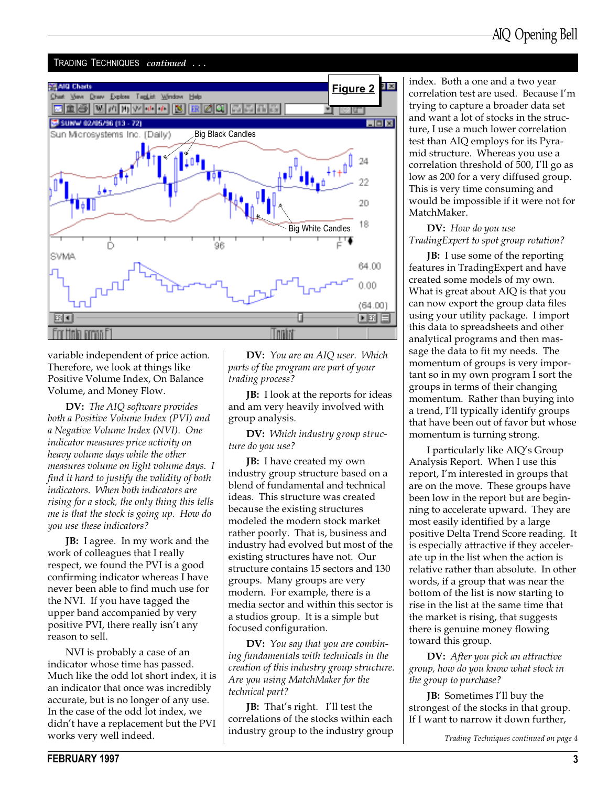#### TRADING TECHNIQUES continued ...



variable independent of price action. Therefore, we look at things like Positive Volume Index, On Balance Volume, and Money Flow.

DV: The AIQ software provides both a Positive Volume Index (PVI) and a Negative Volume Index (NVI). One indicator measures price activity on heavy volume days while the other measures volume on light volume days. I find it hard to justify the validity of both indicators. When both indicators are rising for a stock, the only thing this tells me is that the stock is going up. How do you use these indicators?

**JB:** I agree. In my work and the work of colleagues that I really respect, we found the PVI is a good confirming indicator whereas I have never been able to find much use for the NVI. If you have tagged the upper band accompanied by very positive PVI, there really isn't any reason to sell.

NVI is probably a case of an indicator whose time has passed. Much like the odd lot short index, it is an indicator that once was incredibly accurate, but is no longer of any use. In the case of the odd lot index, we didn't have a replacement but the PVI works very well indeed.

DV: You are an AIQ user. Which parts of the program are part of your trading process?

JB: I look at the reports for ideas and am very heavily involved with group analysis.

DV: Which industry group structure do you use?

**JB:** I have created my own industry group structure based on a blend of fundamental and technical ideas. This structure was created because the existing structures modeled the modern stock market rather poorly. That is, business and industry had evolved but most of the existing structures have not. Our structure contains 15 sectors and 130 groups. Many groups are very modern. For example, there is a media sector and within this sector is a studios group. It is a simple but focused configuration.

DV: You say that you are combining fundamentals with technicals in the creation of this industry group structure. Are you using MatchMaker for the technical part?

**JB:** That's right. I'll test the correlations of the stocks within each industry group to the industry group Trading Techniques continued on page 4

index. Both a one and a two year correlation test are used. Because I'm trying to capture a broader data set and want a lot of stocks in the structure, I use a much lower correlation test than AIQ employs for its Pyramid structure. Whereas you use a correlation threshold of 500, I'll go as low as 200 for a very diffused group. This is very time consuming and would be impossible if it were not for MatchMaker.

#### DV: How do you use TradingExpert to spot group rotation?

**JB:** I use some of the reporting features in TradingExpert and have created some models of my own. What is great about AIQ is that you can now export the group data files using your utility package. I import this data to spreadsheets and other analytical programs and then massage the data to fit my needs. The momentum of groups is very important so in my own program I sort the groups in terms of their changing momentum. Rather than buying into a trend, I'll typically identify groups that have been out of favor but whose momentum is turning strong.

I particularly like AIQ's Group Analysis Report. When I use this report, I'm interested in groups that are on the move. These groups have been low in the report but are beginning to accelerate upward. They are most easily identified by a large positive Delta Trend Score reading. It is especially attractive if they accelerate up in the list when the action is relative rather than absolute. In other words, if a group that was near the bottom of the list is now starting to rise in the list at the same time that the market is rising, that suggests there is genuine money flowing toward this group.

DV: After you pick an attractive group, how do you know what stock in the group to purchase?

**JB:** Sometimes I'll buy the strongest of the stocks in that group. If I want to narrow it down further,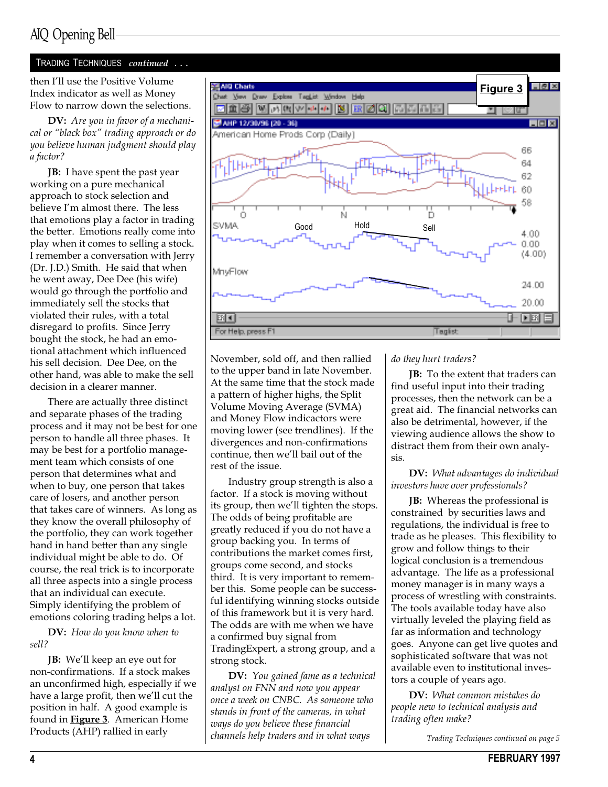#### TRADING TECHNIQUES continued . . .

then I'll use the Positive Volume Index indicator as well as Money Flow to narrow down the selections.

DV: Are you in favor of a mechanical or "black box" trading approach or do you believe human judgment should play a factor?

**JB:** I have spent the past year working on a pure mechanical approach to stock selection and believe I'm almost there. The less that emotions play a factor in trading the better. Emotions really come into play when it comes to selling a stock. I remember a conversation with Jerry (Dr. J.D.) Smith. He said that when he went away, Dee Dee (his wife) would go through the portfolio and immediately sell the stocks that violated their rules, with a total disregard to profits. Since Jerry bought the stock, he had an emotional attachment which influenced his sell decision. Dee Dee, on the other hand, was able to make the sell decision in a clearer manner.

There are actually three distinct and separate phases of the trading process and it may not be best for one person to handle all three phases. It may be best for a portfolio management team which consists of one person that determines what and when to buy, one person that takes care of losers, and another person that takes care of winners. As long as they know the overall philosophy of the portfolio, they can work together hand in hand better than any single individual might be able to do. Of course, the real trick is to incorporate all three aspects into a single process that an individual can execute. Simply identifying the problem of emotions coloring trading helps a lot.

DV: How do you know when to sell?

**JB:** We'll keep an eye out for non-confirmations. If a stock makes an unconfirmed high, especially if we have a large profit, then we'll cut the position in half. A good example is found in **Figure 3**. American Home Products (AHP) rallied in early



November, sold off, and then rallied to the upper band in late November. At the same time that the stock made a pattern of higher highs, the Split Volume Moving Average (SVMA) and Money Flow indicactors were moving lower (see trendlines). If the divergences and non-confirmations continue, then we'll bail out of the rest of the issue.

Industry group strength is also a factor. If a stock is moving without its group, then we'll tighten the stops. The odds of being profitable are greatly reduced if you do not have a group backing you. In terms of contributions the market comes first, groups come second, and stocks third. It is very important to remember this. Some people can be successful identifying winning stocks outside of this framework but it is very hard. The odds are with me when we have a confirmed buy signal from TradingExpert, a strong group, and a strong stock.

DV: You gained fame as a technical analyst on FNN and now you appear once a week on CNBC. As someone who stands in front of the cameras, in what ways do you believe these financial channels help traders and in what ways Trading Techniques continued on page 5

do they hurt traders?

**JB:** To the extent that traders can find useful input into their trading processes, then the network can be a great aid. The financial networks can also be detrimental, however, if the viewing audience allows the show to distract them from their own analysis.

DV: What advantages do individual investors have over professionals?

**JB:** Whereas the professional is constrained by securities laws and regulations, the individual is free to trade as he pleases. This flexibility to grow and follow things to their logical conclusion is a tremendous advantage. The life as a professional money manager is in many ways a process of wrestling with constraints. The tools available today have also virtually leveled the playing field as far as information and technology goes. Anyone can get live quotes and sophisticated software that was not available even to institutional investors a couple of years ago.

DV: What common mistakes do people new to technical analysis and trading often make?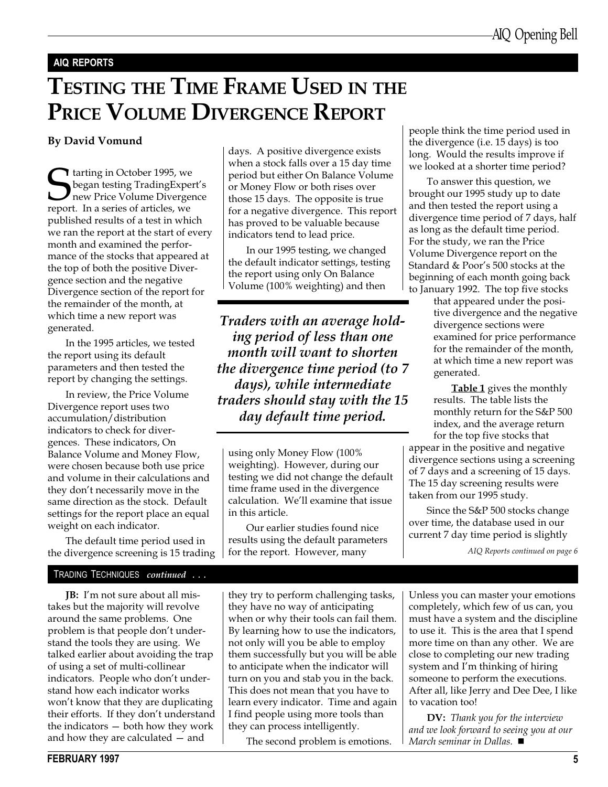#### AIQ REPORTS

# TESTING THE TIME FRAME USED IN THE PRICE VOLUME DIVERGENCE REPORT

#### By David Vomund

**S**tarting in October 1995, we began testing TradingExperience Volume Divergereport. In a series of articles, we began testing TradingExpert's new Price Volume Divergence published results of a test in which we ran the report at the start of every month and examined the performance of the stocks that appeared at the top of both the positive Divergence section and the negative Divergence section of the report for the remainder of the month, at which time a new report was generated.

In the 1995 articles, we tested the report using its default parameters and then tested the report by changing the settings.

In review, the Price Volume Divergence report uses two accumulation/distribution indicators to check for divergences. These indicators, On Balance Volume and Money Flow, were chosen because both use price and volume in their calculations and they don't necessarily move in the same direction as the stock. Default settings for the report place an equal weight on each indicator.

The default time period used in the divergence screening is 15 trading

#### TRADING TECHNIQUES continued ...

**JB:** I'm not sure about all mistakes but the majority will revolve around the same problems. One problem is that people don't understand the tools they are using. We talked earlier about avoiding the trap of using a set of multi-collinear indicators. People who don't understand how each indicator works won't know that they are duplicating their efforts. If they don't understand the indicators  $-$  both how they work and how they are calculated  $-$  and

days. A positive divergence exists when a stock falls over a 15 day time period but either On Balance Volume or Money Flow or both rises over those 15 days. The opposite is true for a negative divergence. This report has proved to be valuable because indicators tend to lead price.

In our 1995 testing, we changed the default indicator settings, testing the report using only On Balance Volume (100% weighting) and then

Traders with an average holding period of less than one month will want to shorten the divergence time period (to 7 days), while intermediate traders should stay with the 15 day default time period.

using only Money Flow (100% weighting). However, during our testing we did not change the default time frame used in the divergence calculation. Well examine that issue in this article.

Our earlier studies found nice results using the default parameters for the report. However, many

they try to perform challenging tasks, they have no way of anticipating when or why their tools can fail them. By learning how to use the indicators, not only will you be able to employ them successfully but you will be able to anticipate when the indicator will turn on you and stab you in the back. This does not mean that you have to learn every indicator. Time and again I find people using more tools than they can process intelligently.

The second problem is emotions.

people think the time period used in the divergence (i.e. 15 days) is too long. Would the results improve if we looked at a shorter time period?

To answer this question, we brought our 1995 study up to date and then tested the report using a divergence time period of 7 days, half as long as the default time period. For the study, we ran the Price Volume Divergence report on the Standard & Poor's 500 stocks at the beginning of each month going back to January 1992. The top five stocks

that appeared under the positive divergence and the negative divergence sections were examined for price performance for the remainder of the month, at which time a new report was generated.

Table 1 gives the monthly results. The table lists the monthly return for the S&P 500 index, and the average return for the top five stocks that

appear in the positive and negative divergence sections using a screening of 7 days and a screening of 15 days. The 15 day screening results were taken from our 1995 study.

Since the S&P 500 stocks change over time, the database used in our current 7 day time period is slightly

AIQ Reports continued on page 6

Unless you can master your emotions completely, which few of us can, you must have a system and the discipline to use it. This is the area that I spend more time on than any other. We are close to completing our new trading system and I'm thinking of hiring someone to perform the executions. After all, like Jerry and Dee Dee, I like to vacation too!

**DV:** Thank you for the interview and we look forward to seeing you at our March seminar in Dallas.  $\blacksquare$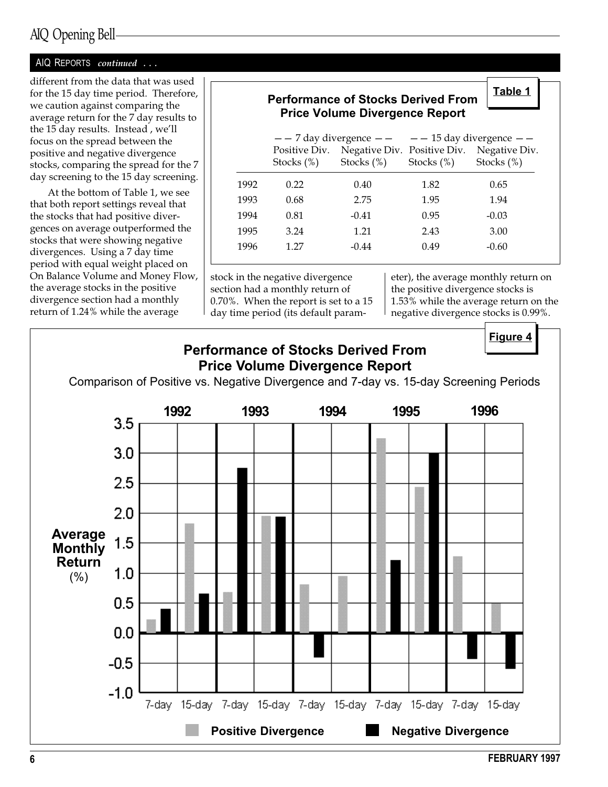## AIQ Opening Bell

#### AIQ REPORTS continued ...

different from the data that was used for the 15 day time period. Therefore, we caution against comparing the average return for the 7 day results to the 15 day results. Instead, we'll focus on the spread between the positive and negative divergence stocks, comparing the spread for the 7 day screening to the 15 day screening.

At the bottom of Table 1, we see that both report settings reveal that the stocks that had positive divergences on average outperformed the stocks that were showing negative divergences. Using a 7 day time period with equal weight placed on On Balance Volume and Money Flow, the average stocks in the positive divergence section had a monthly return of 1.24% while the average

## Performance of Stocks Derived From Price Volume Divergence Report

|      |               |                             | $-$ - 7 day divergence $-$ - $-$ - 15 day divergence $-$ |               |  |
|------|---------------|-----------------------------|----------------------------------------------------------|---------------|--|
|      | Positive Div. | Negative Div. Positive Div. |                                                          | Negative Div. |  |
|      | Stocks $(\%)$ | Stocks $(\%)$               | Stocks $(\%)$                                            | Stocks $(\%)$ |  |
| 1992 | 0.22          | 0.40                        | 1.82                                                     | 0.65          |  |
| 1993 | 0.68          | 2.75                        | 1.95                                                     | 1.94          |  |
| 1994 | 0.81          | $-0.41$                     | 0.95                                                     | $-0.03$       |  |
| 1995 | 3.24          | 1.21                        | 2.43                                                     | 3.00          |  |
| 1996 | 1.27          | $-0.44$                     | 0.49                                                     | $-0.60$       |  |
|      |               |                             |                                                          |               |  |

stock in the negative divergence section had a monthly return of 0.70%. When the report is set to a 15 day time period (its default parameter), the average monthly return on the positive divergence stocks is 1.53% while the average return on the negative divergence stocks is 0.99%.

Figure 4

Table 1

![](_page_5_Figure_9.jpeg)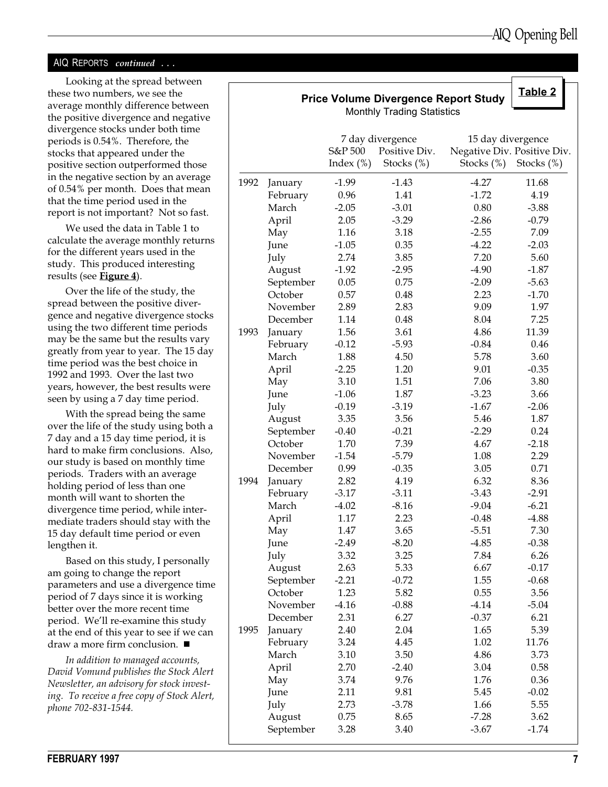#### AIQ REPORTS *continued* ...

Looking at the spread between these two numbers, we see the average monthly difference between the positive divergence and negative divergence stocks under both time periods is 0.54%. Therefore, the stocks that appeared under the positive section outperformed those in the negative section by an average of 0.54% per month. Does that mean that the time period used in the report is not important? Not so fast.

We used the data in Table 1 to calculate the average monthly returns for the different years used in the study. This produced interesting results (see **Figure 4**).

Over the life of the study, the spread between the positive divergence and negative divergence stocks using the two different time periods may be the same but the results vary greatly from year to year. The 15 day time period was the best choice in 1992 and 1993. Over the last two years, however, the best results were seen by using a 7 day time period.

With the spread being the same over the life of the study using both a 7 day and a 15 day time period, it is hard to make firm conclusions. Also, our study is based on monthly time periods. Traders with an average holding period of less than one month will want to shorten the divergence time period, while intermediate traders should stay with the 15 day default time period or even lengthen it.

Based on this study, I personally am going to change the report parameters and use a divergence time period of 7 days since it is working better over the more recent time period. We'll re-examine this study at the end of this year to see if we can draw a more firm conclusion.  $\blacksquare$ 

In addition to managed accounts, David Vomund publishes the Stock Alert Newsletter, an advisory for stock investing. To receive a free copy of Stock Alert, phone 702-831-1544.

|      |           |                         | <b>Price Volume Divergence Report Study</b><br><b>Monthly Trading Statistics</b> |                                                                | Table 2       |
|------|-----------|-------------------------|----------------------------------------------------------------------------------|----------------------------------------------------------------|---------------|
|      |           | S&P 500<br>Index $(\%)$ | 7 day divergence<br>Positive Div.<br>Stocks $(\%)$                               | 15 day divergence<br>Negative Div. Positive Div.<br>Stocks (%) | Stocks $(\%)$ |
| 1992 | January   | $-1.99$                 | $-1.43$                                                                          | $-4.27$                                                        | 11.68         |
|      | February  | 0.96                    | 1.41                                                                             | $-1.72$                                                        | 4.19          |
|      | March     | $-2.05$                 | $-3.01$                                                                          | 0.80                                                           | $-3.88$       |
|      | April     | 2.05                    | $-3.29$                                                                          | $-2.86$                                                        | $-0.79$       |
|      | May       | 1.16                    | 3.18                                                                             | $-2.55$                                                        | 7.09          |
|      | June      | $-1.05$                 | 0.35                                                                             | $-4.22$                                                        | $-2.03$       |
|      | July      | 2.74                    | 3.85                                                                             | 7.20                                                           | 5.60          |
|      | August    | $-1.92$                 | $-2.95$                                                                          | $-4.90$                                                        | $-1.87$       |
|      | September | 0.05                    | 0.75                                                                             | $-2.09$                                                        | $-5.63$       |
|      | October   | 0.57                    | 0.48                                                                             | 2.23                                                           | $-1.70$       |
|      | November  | 2.89                    | 2.83                                                                             | 9.09                                                           | 1.97          |
|      |           |                         |                                                                                  | 8.04                                                           | 7.25          |
|      | December  | 1.14                    | 0.48                                                                             | 4.86                                                           |               |
| 1993 | January   | 1.56                    | 3.61                                                                             |                                                                | 11.39         |
|      | February  | $-0.12$                 | $-5.93$                                                                          | $-0.84$                                                        | 0.46          |
|      | March     | 1.88                    | 4.50                                                                             | 5.78                                                           | 3.60          |
|      | April     | $-2.25$                 | 1.20                                                                             | 9.01                                                           | $-0.35$       |
|      | May       | 3.10                    | 1.51                                                                             | 7.06                                                           | 3.80          |
|      | June      | $-1.06$                 | 1.87                                                                             | $-3.23$                                                        | 3.66          |
|      | July      | $-0.19$                 | $-3.19$                                                                          | $-1.67$                                                        | $-2.06$       |
|      | August    | 3.35                    | 3.56                                                                             | 5.46                                                           | 1.87          |
|      | September | $-0.40$                 | $-0.21$                                                                          | $-2.29$                                                        | 0.24          |
|      | October   | 1.70                    | 7.39                                                                             | 4.67                                                           | $-2.18$       |
|      | November  | $-1.54$                 | $-5.79$                                                                          | 1.08                                                           | 2.29          |
|      | December  | 0.99                    | $-0.35$                                                                          | 3.05                                                           | 0.71          |
| 1994 | January   | 2.82                    | 4.19                                                                             | 6.32                                                           | 8.36          |
|      | February  | $-3.17$                 | $-3.11$                                                                          | $-3.43$                                                        | $-2.91$       |
|      | March     | $-4.02$                 | $-8.16$                                                                          | $-9.04$                                                        | $-6.21$       |
|      | April     | 1.17                    | 2.23                                                                             | $-0.48$                                                        | $-4.88$       |
|      | May       | 1.47                    | 3.65                                                                             | $-5.51$                                                        | 7.30          |
|      | June      | $-2.49$                 | $-8.20$                                                                          | $-4.85$                                                        | $-0.38$       |
|      | July      | 3.32                    | 3.25                                                                             | 7.84                                                           | 6.26          |
|      | August    | 2.63                    | 5.33                                                                             | 6.67                                                           | $-0.17$       |
|      | September | $-2.21$                 | $-0.72$                                                                          | 1.55                                                           | $-0.68$       |
|      | October   | 1.23                    | 5.82                                                                             | 0.55                                                           | 3.56          |
|      | November  | $-4.16$                 | $-0.88$                                                                          | $-4.14$                                                        | $-5.04$       |
|      | December  | 2.31                    | 6.27                                                                             | $-0.37$                                                        | 6.21          |
| 1995 | January   | 2.40                    | 2.04                                                                             | 1.65                                                           | 5.39          |
|      | February  | 3.24                    | 4.45                                                                             | 1.02                                                           | 11.76         |
|      | March     | 3.10                    | 3.50                                                                             | 4.86                                                           | 3.73          |
|      | April     | 2.70                    | $-2.40$                                                                          | 3.04                                                           | 0.58          |
|      | May       | 3.74                    | 9.76                                                                             | 1.76                                                           | 0.36          |
|      | June      | 2.11                    | 9.81                                                                             | 5.45                                                           | $-0.02$       |
|      |           | 2.73                    | $-3.78$                                                                          | 1.66                                                           | 5.55          |
|      | July      | 0.75                    | 8.65                                                                             |                                                                |               |
|      | August    |                         |                                                                                  | $-7.28$                                                        | 3.62          |
|      | September | 3.28                    | 3.40                                                                             | $-3.67$                                                        | $-1.74$       |